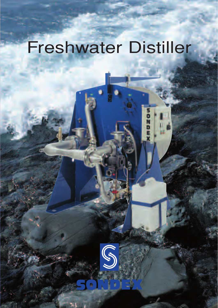# Freshwater Distiller

mDZOW

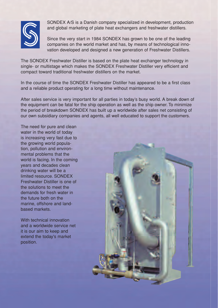

SONDEX A/S is a Danish company specialized in development, production and global marketing of plate heat exchangers and freshwater distillers.

Since the very start in 1984 SONDEX has grown to be one of the leading companies on the world market and has, by means of technological innovation developed and designed a new generation of Freshwater Distillers.

The SONDEX Freshwater Distiller is based on the plate heat exchanger technology in single- or multistage which makes the SONDEX Freshwater Distiller very efficient and compact toward traditional freshwater distillers on the market.

In the course of time the SONDEX Freshwater Distiller has appeared to be a first class and a reliable product operating for a long time without maintenance.

After sales service is very important for all parties in today's busy world. A break down of the equipment can be fatal for the ship operation as well as the ship owner. To minimize the period of breakdown SONDEX has built up a worldwide after sales net consisting of our own subsidiary companies and agents, all well educated to support the customers.

The need for pure and clean water in the world of today is increasing very fast due to the growing world population, pollution and environmental problems that the world is facing. In the coming years and decades clean drinking water will be a limited resource. SONDEX Freshwater Distiller is one of the solutions to meet the demands for fresh water in the future both on the marine, offshore and landbased markets.

With technical innovation and a worldwide service net it is our aim to keep and extend the today's market position.

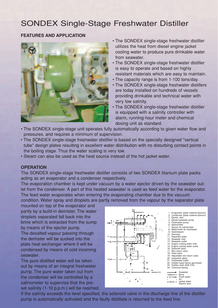## SONDEX Single-Stage Freshwater Distiller

#### **FEATURES AND APPLICATION**



- The SONDEX single-stage freshwater distiller utilizes the heat from diesel engine jacket cooling water to produce pure drinkable water from seawater.
- The SONDEX single-stage freshwater distiller is easy to operate and based on highly resistant materials which are easy to maintain.
- The capacity range is from 1-100 tons/day.
- The SONDEX single-stage freshwater distillers are today installed on hundreds of vessels providing drinkable and technical water with very low salinity.
- The SONDEX single-stage freshwater distiller is equipped with a salinity controller with alarm, running-hour meter and chemical dosing unit as standard.
- The SONDEX single-stage unit operates fully automatically according to given water flow and pressures, and requires a minimum of supervision.
- The SONDEX single-stage freshwater distiller is based on the specially designed "vertical tube" design plates resulting in excellent water distribution with no disturbing contact points in the boiling stage. Thus the water scaling is very low.
- Steam can also be used as the heat source instead of the hot jacket water.

#### **OPERATION**

The SONDEX single-stage freshwater distiller consists of two SONDEX titanium plate packs acting as an evaporator and a condenser respectively.

The evaporation chamber is kept under vacuum by a water ejector driven by the seawater outlet from the condenser. A part of this heated seawater is used as feed water for the evaporator. The feed water evaporates when entering the evaporating chamber due to the vacuum

condition. Water spray and droplets are partly removed from the vapour by the separator plate

mounted on top of the evaporator and partly by a build-in demister. The water droplets separated fall back into the brine which is extracted from the sump by means of the ejector pump.

The desalted vapour passing through the demister will be sucked into the plate heat exchanger where it will be condensed by means of cold incoming seawater.

The pure distilled water will be taken out by means of an integral freshwater pump. The pure water taken out from the condenser will be controlled by a salinometer to supervise that the preset salinity (1-10 p.p.m.) will be reached.



If the salinity exceeds the level specified, the solenoid valve in the discharge line of the distiller pump is automatically activated and the faulty distillate is returned to the feed line.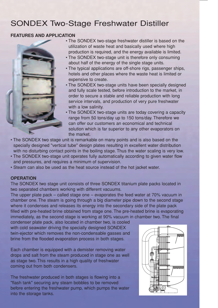## SONDEX Two-Stage Freshwater Distiller

#### **FEATURES AND APPLICATION**



• The SONDEX two-stage freshwater distiller is based on the utilization of waste heat and basically used where high production is required, and the energy available is limited.

- The SONDEX two-stage unit is therefore only consuming about half of the energy of the single stage units.
- The typical applications are off-shore rigs, passenger ships, hotels and other places where the waste heat is limited or expensive to create.
- The SONDEX two-stage units have been specially designed and fully scale tested, before introduction to the market, in order to secure a stable and reliable production with long service intervals, and production of very pure freshwater with a low salinity.
- The SONDEX two-stage units are today covering a capacity range from 50 tons/day up to 150 tons/day. Therefore we can offer our customers an economical and technical solution which is far superior to any other evaporators on the market.
- The SONDEX two stage unit is remarkable on many points and is also based on the specially designed "vertical tube" design plates resulting in excellent water distribution with no disturbing contact points in the boiling stage. Thus the water scaling is very low.
- The SONDEX two-stage unit operates fully automatically according to given water flow and pressures, and requires a minimum of supervision.
- Steam can also be used as the heat source instead of the hot jacket water.

#### **OPERATION**

The SONDEX two stage unit consists of three SONDEX titanium plate packs located in two separated chambers working with different vacuums.

The upper plate pack – called stage one – evaporates the feed water at 70% vacuum in chamber one. The steam is going through a big diameter pipe down to the second stage where it condenses and releases its energy into the secondary side of the plate pack filled with pre-heated brine obtained from stage one. The pre-heated brine is evaporating immediately, as the second stage is working at 90% vacuum in chamber two. The final

condenser plate pack, also located in chamber two, is cooled with cold seawater driving the specially designed SONDEX twin-ejector which removes the non-condensable gasses and brine from the flooded evaporation process in both stages.

Each chamber is equipped with a demister removing water drops and salt from the steam produced in stage one as well as stage two. This results in a high quality of freshwater coming out from both condensers.

The freshwater produced in both stages is flowing into a "flash tank" securing any steam bobbles to be removed before entering the freshwater pump, which pumps the water into the storage tanks.

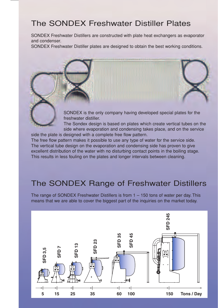## The SONDEX Freshwater Distiller Plates

SONDEX Freshwater Distillers are constructed with plate heat exchangers as evaporator and condenser.

SONDEX Freshwater Distiller plates are designed to obtain the best working conditions.

SONDEX is the only company having developed special plates for the freshwater distiller.

The Sondex design is based on plates which create vertical tubes on the side where evaporation and condensing takes place, and on the service

side the plate is designed with a complete free flow pattern. The free flow pattern makes it possible to use any type of water for the service side. The vertical tube design on the evaporation and condensing side has proven to give excellent distribution of the water with no disturbing contact points in the boiling stage. This results in less fouling on the plates and longer intervals between cleaning.

## The SONDEX Range of Freshwater Distillers

The range of SONDEX Freshwater Distillers is from  $1 - 150$  tons of water per day. This means that we are able to cover the biggest part of the inquiries on the market today.